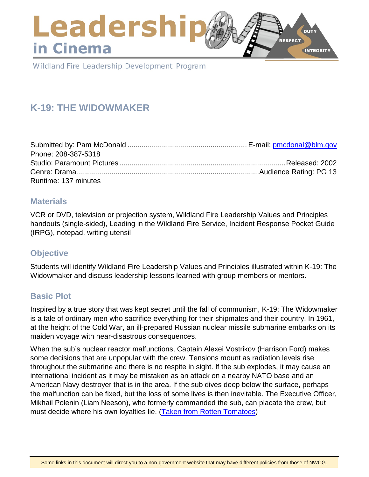### Leadershi **DUTY RESPECT** in Cinema **INTEGRITY**

Wildland Fire Leadership Development Program

# **K-19: THE WIDOWMAKER**

| Phone: 208-387-5318  |  |
|----------------------|--|
|                      |  |
|                      |  |
| Runtime: 137 minutes |  |

### **Materials**

VCR or DVD, television or projection system, Wildland Fire Leadership Values and Principles handouts (single-sided), Leading in the Wildland Fire Service, Incident Response Pocket Guide (IRPG), notepad, writing utensil

### **Objective**

Students will identify Wildland Fire Leadership Values and Principles illustrated within K-19: The Widowmaker and discuss leadership lessons learned with group members or mentors.

### **Basic Plot**

Inspired by a true story that was kept secret until the fall of communism, K-19: The Widowmaker is a tale of ordinary men who sacrifice everything for their shipmates and their country. In 1961, at the height of the Cold War, an ill-prepared Russian nuclear missile submarine embarks on its maiden voyage with near-disastrous consequences.

When the sub's nuclear reactor malfunctions, Captain Alexei Vostrikov (Harrison Ford) makes some decisions that are unpopular with the crew. Tensions mount as radiation levels rise throughout the submarine and there is no respite in sight. If the sub explodes, it may cause an international incident as it may be mistaken as an attack on a nearby NATO base and an American Navy destroyer that is in the area. If the sub dives deep below the surface, perhaps the malfunction can be fixed, but the loss of some lives is then inevitable. The Executive Officer, Mikhail Polenin (Liam Neeson), who formerly commanded the sub, can placate the crew, but must decide where his own loyalties lie. [\(Taken from Rotten Tomatoes\)](https://www.rottentomatoes.com/)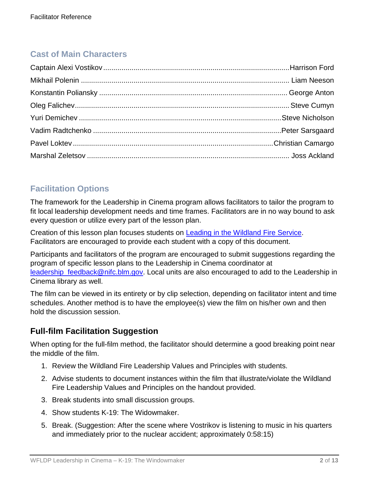# **Cast of Main Characters**

## **Facilitation Options**

The framework for the Leadership in Cinema program allows facilitators to tailor the program to fit local leadership development needs and time frames. Facilitators are in no way bound to ask every question or utilize every part of the lesson plan.

Creation of this lesson plan focuses students on [Leading in the Wildland Fire Service.](https://www.nwcg.gov/sites/default/files/products/pms494-2_0.pdf) Facilitators are encouraged to provide each student with a copy of this document.

Participants and facilitators of the program are encouraged to submit suggestions regarding the program of specific lesson plans to the Leadership in Cinema coordinator at leadership feedback@nifc.blm.gov. Local units are also encouraged to add to the Leadership in Cinema library as well.

The film can be viewed in its entirety or by clip selection, depending on facilitator intent and time schedules. Another method is to have the employee(s) view the film on his/her own and then hold the discussion session.

## **Full-film Facilitation Suggestion**

When opting for the full-film method, the facilitator should determine a good breaking point near the middle of the film.

- 1. Review the Wildland Fire Leadership Values and Principles with students.
- 2. Advise students to document instances within the film that illustrate/violate the Wildland Fire Leadership Values and Principles on the handout provided.
- 3. Break students into small discussion groups.
- 4. Show students K-19: The Widowmaker.
- 5. Break. (Suggestion: After the scene where Vostrikov is listening to music in his quarters and immediately prior to the nuclear accident; approximately 0:58:15)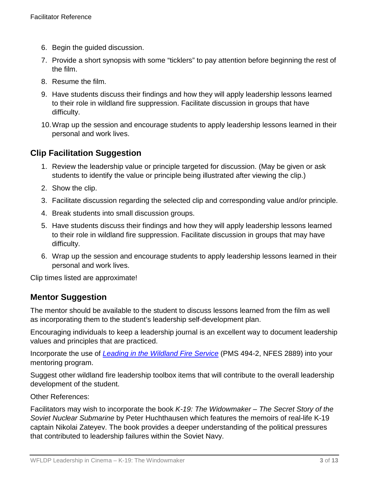- 6. Begin the guided discussion.
- 7. Provide a short synopsis with some "ticklers" to pay attention before beginning the rest of the film.
- 8. Resume the film.
- 9. Have students discuss their findings and how they will apply leadership lessons learned to their role in wildland fire suppression. Facilitate discussion in groups that have difficulty.
- 10.Wrap up the session and encourage students to apply leadership lessons learned in their personal and work lives.

### **Clip Facilitation Suggestion**

- 1. Review the leadership value or principle targeted for discussion. (May be given or ask students to identify the value or principle being illustrated after viewing the clip.)
- 2. Show the clip.
- 3. Facilitate discussion regarding the selected clip and corresponding value and/or principle.
- 4. Break students into small discussion groups.
- 5. Have students discuss their findings and how they will apply leadership lessons learned to their role in wildland fire suppression. Facilitate discussion in groups that may have difficulty.
- 6. Wrap up the session and encourage students to apply leadership lessons learned in their personal and work lives.

Clip times listed are approximate!

### **Mentor Suggestion**

The mentor should be available to the student to discuss lessons learned from the film as well as incorporating them to the student's leadership self-development plan.

Encouraging individuals to keep a leadership journal is an excellent way to document leadership values and principles that are practiced.

Incorporate the use of *[Leading in the Wildland Fire Service](https://www.nwcg.gov/sites/default/files/products/pms494-2_0.pdf)* (PMS 494-2, NFES 2889) into your mentoring program.

Suggest other wildland fire leadership toolbox items that will contribute to the overall leadership development of the student.

### Other References:

Facilitators may wish to incorporate the book *K-19: The Widowmaker – The Secret Story of the Soviet Nuclear Submarine* by Peter Huchthausen which features the memoirs of real-life K-19 captain Nikolai Zateyev. The book provides a deeper understanding of the political pressures that contributed to leadership failures within the Soviet Navy.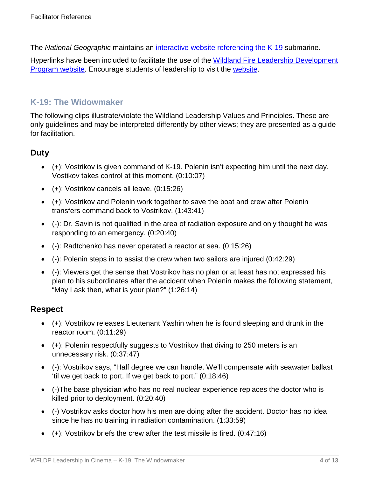The *National Geographic* maintains an [interactive website referencing the K-19](http://www.nationalgeographic.com/k19/index.html) submarine.

Hyperlinks have been included to facilitate the use of the Wildland Fire Leadership Development [Program website.](https://www.fireleadership.gov/) Encourage students of leadership to visit the [website.](https://www.fireleadership.gov/)

### **K-19: The Widowmaker**

The following clips illustrate/violate the Wildland Leadership Values and Principles. These are only guidelines and may be interpreted differently by other views; they are presented as a guide for facilitation.

### **Duty**

- (+): Vostrikov is given command of K-19. Polenin isn't expecting him until the next day. Vostikov takes control at this moment. (0:10:07)
- (+): Vostrikov cancels all leave. (0:15:26)
- (+): Vostrikov and Polenin work together to save the boat and crew after Polenin transfers command back to Vostrikov. (1:43:41)
- (-): Dr. Savin is not qualified in the area of radiation exposure and only thought he was responding to an emergency. (0:20:40)
- (-): Radtchenko has never operated a reactor at sea. (0:15:26)
- $\bullet$  (-): Polenin steps in to assist the crew when two sailors are injured (0:42:29)
- (-): Viewers get the sense that Vostrikov has no plan or at least has not expressed his plan to his subordinates after the accident when Polenin makes the following statement, "May I ask then, what is your plan?" (1:26:14)

### **Respect**

- (+): Vostrikov releases Lieutenant Yashin when he is found sleeping and drunk in the reactor room. (0:11:29)
- (+): Polenin respectfully suggests to Vostrikov that diving to 250 meters is an unnecessary risk. (0:37:47)
- (-): Vostrikov says, "Half degree we can handle. We'll compensate with seawater ballast 'til we get back to port. If we get back to port." (0:18:46)
- (-)The base physician who has no real nuclear experience replaces the doctor who is killed prior to deployment. (0:20:40)
- (-) Vostrikov asks doctor how his men are doing after the accident. Doctor has no idea since he has no training in radiation contamination. (1:33:59)
- $\bullet$  (+): Vostrikov briefs the crew after the test missile is fired. (0:47:16)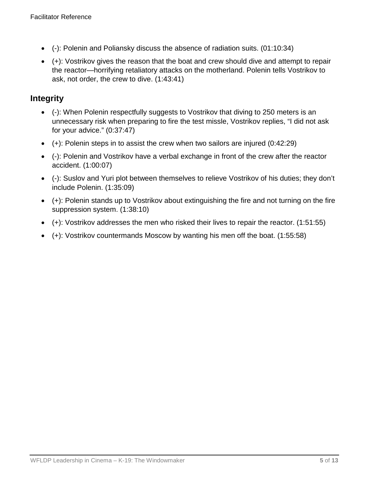- (-): Polenin and Poliansky discuss the absence of radiation suits. (01:10:34)
- (+): Vostrikov gives the reason that the boat and crew should dive and attempt to repair the reactor—horrifying retaliatory attacks on the motherland. Polenin tells Vostrikov to ask, not order, the crew to dive. (1:43:41)

### **Integrity**

- (-): When Polenin respectfully suggests to Vostrikov that diving to 250 meters is an unnecessary risk when preparing to fire the test missle, Vostrikov replies, "I did not ask for your advice." (0:37:47)
- $\bullet$  (+): Polenin steps in to assist the crew when two sailors are injured (0:42:29)
- (-): Polenin and Vostrikov have a verbal exchange in front of the crew after the reactor accident. (1:00:07)
- (-): Suslov and Yuri plot between themselves to relieve Vostrikov of his duties; they don't include Polenin. (1:35:09)
- (+): Polenin stands up to Vostrikov about extinguishing the fire and not turning on the fire suppression system. (1:38:10)
- (+): Vostrikov addresses the men who risked their lives to repair the reactor. (1:51:55)
- (+): Vostrikov countermands Moscow by wanting his men off the boat. (1:55:58)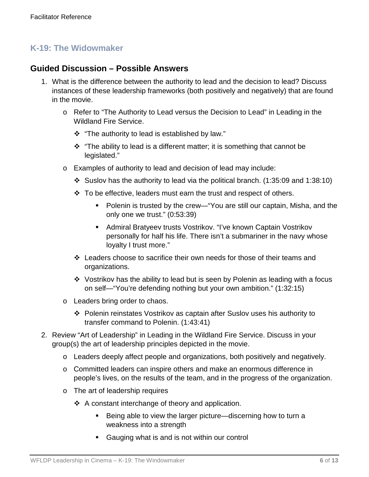### **K-19: The Widowmaker**

### **Guided Discussion – Possible Answers**

- 1. What is the difference between the authority to lead and the decision to lead? Discuss instances of these leadership frameworks (both positively and negatively) that are found in the movie.
	- o Refer to "The Authority to Lead versus the Decision to Lead" in Leading in the Wildland Fire Service.
		- \* "The authority to lead is established by law."
		- $\cdot \cdot$  "The ability to lead is a different matter; it is something that cannot be legislated."
	- o Examples of authority to lead and decision of lead may include:
		- Suslov has the authority to lead via the political branch.  $(1:35:09$  and  $1:38:10)$
		- $\div$  To be effective, leaders must earn the trust and respect of others.
			- Polenin is trusted by the crew—"You are still our captain, Misha, and the only one we trust." (0:53:39)
			- Admiral Bratyeev trusts Vostrikov. "I've known Captain Vostrikov personally for half his life. There isn't a submariner in the navy whose loyalty I trust more."
		- Leaders choose to sacrifice their own needs for those of their teams and organizations.
		- Vostrikov has the ability to lead but is seen by Polenin as leading with a focus on self—"You're defending nothing but your own ambition." (1:32:15)
	- o Leaders bring order to chaos.
		- Polenin reinstates Vostrikov as captain after Suslov uses his authority to transfer command to Polenin. (1:43:41)
- 2. Review "Art of Leadership" in Leading in the Wildland Fire Service. Discuss in your group(s) the art of leadership principles depicted in the movie.
	- o Leaders deeply affect people and organizations, both positively and negatively.
	- o Committed leaders can inspire others and make an enormous difference in people's lives, on the results of the team, and in the progress of the organization.
	- o The art of leadership requires
		- $\triangle$  A constant interchange of theory and application.
			- Being able to view the larger picture—discerning how to turn a weakness into a strength
			- Gauging what is and is not within our control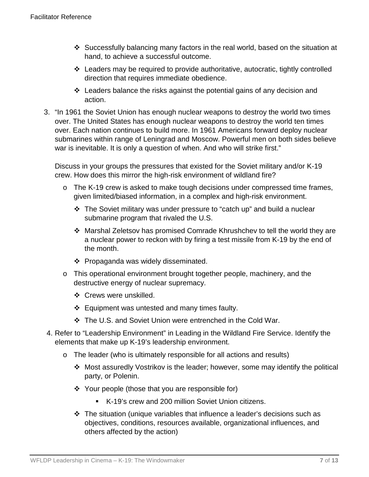- Successfully balancing many factors in the real world, based on the situation at hand, to achieve a successful outcome.
- Leaders may be required to provide authoritative, autocratic, tightly controlled direction that requires immediate obedience.
- Leaders balance the risks against the potential gains of any decision and action.
- 3. "In 1961 the Soviet Union has enough nuclear weapons to destroy the world two times over. The United States has enough nuclear weapons to destroy the world ten times over. Each nation continues to build more. In 1961 Americans forward deploy nuclear submarines within range of Leningrad and Moscow. Powerful men on both sides believe war is inevitable. It is only a question of when. And who will strike first."

Discuss in your groups the pressures that existed for the Soviet military and/or K-19 crew. How does this mirror the high-risk environment of wildland fire?

- o The K-19 crew is asked to make tough decisions under compressed time frames, given limited/biased information, in a complex and high-risk environment.
	- The Soviet military was under pressure to "catch up" and build a nuclear submarine program that rivaled the U.S.
	- Marshal Zeletsov has promised Comrade Khrushchev to tell the world they are a nuclear power to reckon with by firing a test missile from K-19 by the end of the month.
	- ❖ Propaganda was widely disseminated.
- o This operational environment brought together people, machinery, and the destructive energy of nuclear supremacy.
	- ❖ Crews were unskilled.
	- $\div$  Equipment was untested and many times faulty.
	- The U.S. and Soviet Union were entrenched in the Cold War.
- 4. Refer to "Leadership Environment" in Leading in the Wildland Fire Service. Identify the elements that make up K-19's leadership environment.
	- o The leader (who is ultimately responsible for all actions and results)
		- Most assuredly Vostrikov is the leader; however, some may identify the political party, or Polenin.
		- $\div$  Your people (those that you are responsible for)
			- K-19's crew and 200 million Soviet Union citizens.
		- The situation (unique variables that influence a leader's decisions such as objectives, conditions, resources available, organizational influences, and others affected by the action)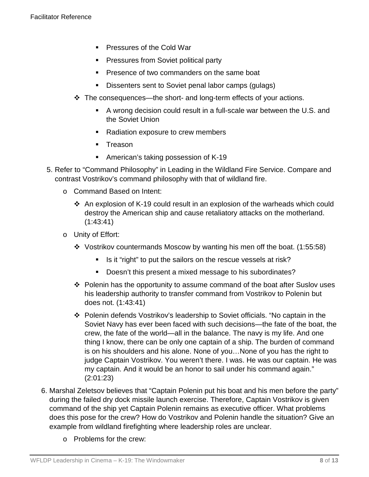- **Pressures of the Cold War**
- **Pressures from Soviet political party**
- **Presence of two commanders on the same boat**
- Dissenters sent to Soviet penal labor camps (gulags)
- $\cdot \cdot$  The consequences—the short- and long-term effects of your actions.
	- A wrong decision could result in a full-scale war between the U.S. and the Soviet Union
	- Radiation exposure to crew members
	- **Treason**
	- American's taking possession of K-19
- 5. Refer to "Command Philosophy" in Leading in the Wildland Fire Service. Compare and contrast Vostrikov's command philosophy with that of wildland fire.
	- o Command Based on Intent:
		- An explosion of K-19 could result in an explosion of the warheads which could destroy the American ship and cause retaliatory attacks on the motherland. (1:43:41)
	- o Unity of Effort:
		- Vostrikov countermands Moscow by wanting his men off the boat. (1:55:58)
			- Is it "right" to put the sailors on the rescue vessels at risk?
			- Doesn't this present a mixed message to his subordinates?
		- $\div$  Polenin has the opportunity to assume command of the boat after Suslov uses his leadership authority to transfer command from Vostrikov to Polenin but does not. (1:43:41)
		- Polenin defends Vostrikov's leadership to Soviet officials. "No captain in the Soviet Navy has ever been faced with such decisions—the fate of the boat, the crew, the fate of the world—all in the balance. The navy is my life. And one thing I know, there can be only one captain of a ship. The burden of command is on his shoulders and his alone. None of you…None of you has the right to judge Captain Vostrikov. You weren't there. I was. He was our captain. He was my captain. And it would be an honor to sail under his command again." (2:01:23)
- 6. Marshal Zeletsov believes that "Captain Polenin put his boat and his men before the party" during the failed dry dock missile launch exercise. Therefore, Captain Vostrikov is given command of the ship yet Captain Polenin remains as executive officer. What problems does this pose for the crew? How do Vostrikov and Polenin handle the situation? Give an example from wildland firefighting where leadership roles are unclear.
	- o Problems for the crew: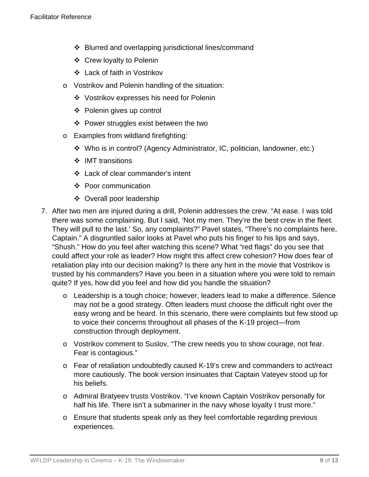- ❖ Blurred and overlapping jurisdictional lines/command
- ❖ Crew loyalty to Polenin
- Lack of faith in Vostrikov
- o Vostrikov and Polenin handling of the situation:
	- Vostrikov expresses his need for Polenin
	- Polenin gives up control
	- ❖ Power struggles exist between the two
- o Examples from wildland firefighting:
	- Who is in control? (Agency Administrator, IC, politician, landowner, etc.)
	- ❖ IMT transitions
	- ❖ Lack of clear commander's intent
	- ❖ Poor communication
	- ❖ Overall poor leadership
- 7. After two men are injured during a drill, Polenin addresses the crew. "At ease. I was told there was some complaining. But I said, 'Not my men. They're the best crew in the fleet. They will pull to the last.' So, any complaints?" Pavel states, "There's no complaints here, Captain." A disgruntled sailor looks at Pavel who puts his finger to his lips and says, "Shush." How do you feel after watching this scene? What "red flags" do you see that could affect your role as leader? How might this affect crew cohesion? How does fear of retaliation play into our decision making? Is there any hint in the movie that Vostrikov is trusted by his commanders? Have you been in a situation where you were told to remain quite? If yes, how did you feel and how did you handle the situation?
	- o Leadership is a tough choice; however, leaders lead to make a difference. Silence may not be a good strategy. Often leaders must choose the difficult right over the easy wrong and be heard. In this scenario, there were complaints but few stood up to voice their concerns throughout all phases of the K-19 project—from construction through deployment.
	- o Vostrikov comment to Suslov, "The crew needs you to show courage, not fear. Fear is contagious."
	- o Fear of retaliation undoubtedly caused K-19's crew and commanders to act/react more cautiously. The book version insinuates that Captain Vateyev stood up for his beliefs.
	- o Admiral Bratyeev trusts Vostrikov. "I've known Captain Vostrikov personally for half his life. There isn't a submariner in the navy whose loyalty I trust more."
	- o Ensure that students speak only as they feel comfortable regarding previous experiences.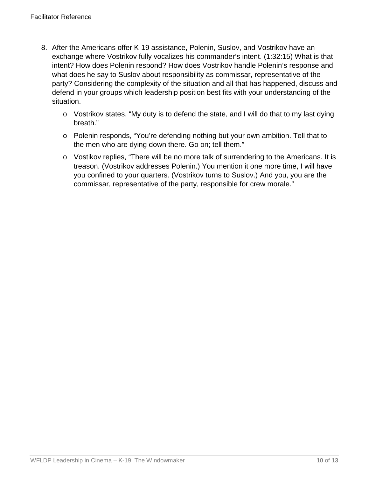- 8. After the Americans offer K-19 assistance, Polenin, Suslov, and Vostrikov have an exchange where Vostrikov fully vocalizes his commander's intent. (1:32:15) What is that intent? How does Polenin respond? How does Vostrikov handle Polenin's response and what does he say to Suslov about responsibility as commissar, representative of the party? Considering the complexity of the situation and all that has happened, discuss and defend in your groups which leadership position best fits with your understanding of the situation.
	- o Vostrikov states, "My duty is to defend the state, and I will do that to my last dying breath."
	- o Polenin responds, "You're defending nothing but your own ambition. Tell that to the men who are dying down there. Go on; tell them."
	- o Vostikov replies, "There will be no more talk of surrendering to the Americans. It is treason. (Vostrikov addresses Polenin.) You mention it one more time, I will have you confined to your quarters. (Vostrikov turns to Suslov.) And you, you are the commissar, representative of the party, responsible for crew morale."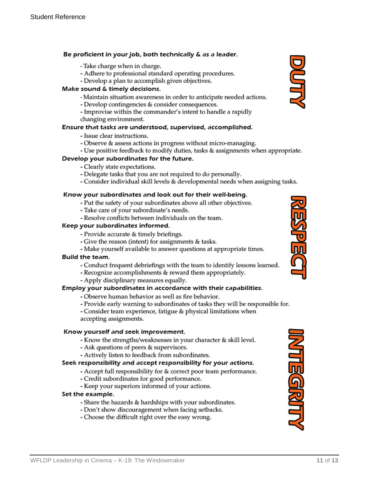#### Be proficient in your job, both technically & as a leader.

- Take charge when in charge.
- Adhere to professional standard operating procedures.
- Develop a plan to accomplish given objectives.

#### Make sound & timely decisions.

- Maintain situation awareness in order to anticipate needed actions.
- Develop contingencies & consider consequences.
- Improvise within the commander's intent to handle a rapidly changing environment.

#### Ensure that tasks are understood, supervised, accomplished.

- Issue clear instructions.
- Observe & assess actions in progress without micro-managing.
- Use positive feedback to modify duties, tasks & assignments when appropriate.

#### Develop your subordinates for the future.

- Clearly state expectations.
- Delegate tasks that you are not required to do personally.
- Consider individual skill levels & developmental needs when assigning tasks.

#### Know your subordinates and look out for their well-being.

- Put the safety of your subordinates above all other objectives.
- Take care of your subordinate's needs.
- Resolve conflicts between individuals on the team.

#### Keep your subordinates informed.

- Provide accurate & timely briefings.
- Give the reason (intent) for assignments & tasks.
- Make yourself available to answer questions at appropriate times.

#### **Build the team.**

- Conduct frequent debriefings with the team to identify lessons learned.
- Recognize accomplishments & reward them appropriately.
- Apply disciplinary measures equally.

#### Employ your subordinates in accordance with their capabilities.

- Observe human behavior as well as fire behavior.
- Provide early warning to subordinates of tasks they will be responsible for.
- Consider team experience, fatigue & physical limitations when accepting assignments.

#### Know yourself and seek improvement.

- Know the strengths/weaknesses in your character & skill level.
- Ask questions of peers & supervisors.
- Actively listen to feedback from subordinates.

#### Seek responsibility and accept responsibility for your actions.

- Accept full responsibility for & correct poor team performance.
- Credit subordinates for good performance.
- Keep your superiors informed of your actions.

#### Set the example.

- Share the hazards & hardships with your subordinates.
- Don't show discouragement when facing setbacks.
- Choose the difficult right over the easy wrong.





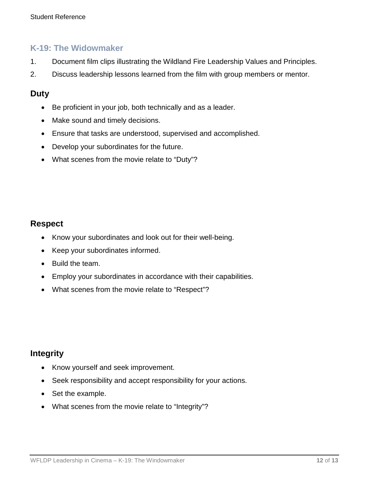### **K-19: The Widowmaker**

- 1. Document film clips illustrating the Wildland Fire Leadership Values and Principles.
- 2. Discuss leadership lessons learned from the film with group members or mentor.

### **Duty**

- Be proficient in your job, both technically and as a leader.
- Make sound and timely decisions.
- Ensure that tasks are understood, supervised and accomplished.
- Develop your subordinates for the future.
- What scenes from the movie relate to "Duty"?

### **Respect**

- Know your subordinates and look out for their well-being.
- Keep your subordinates informed.
- Build the team.
- Employ your subordinates in accordance with their capabilities.
- What scenes from the movie relate to "Respect"?

### **Integrity**

- Know yourself and seek improvement.
- Seek responsibility and accept responsibility for your actions.
- Set the example.
- What scenes from the movie relate to "Integrity"?